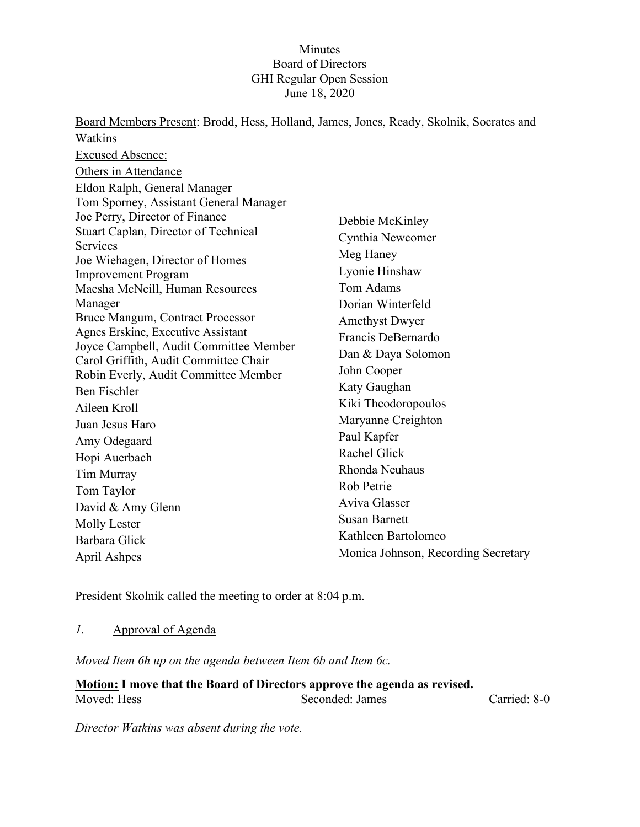#### **Minutes** Board of Directors GHI Regular Open Session June 18, 2020

Board Members Present: Brodd, Hess, Holland, James, Jones, Ready, Skolnik, Socrates and Watkins Excused Absence: Others in Attendance Eldon Ralph, General Manager Tom Sporney, Assistant General Manager Joe Perry, Director of Finance Stuart Caplan, Director of Technical **Services** Joe Wiehagen, Director of Homes Improvement Program Maesha McNeill, Human Resources Manager Bruce Mangum, Contract Processor Agnes Erskine, Executive Assistant Joyce Campbell, Audit Committee Member Carol Griffith, Audit Committee Chair Robin Everly, Audit Committee Member Ben Fischler Aileen Kroll Juan Jesus Haro Amy Odegaard Hopi Auerbach Tim Murray Tom Taylor David & Amy Glenn Molly Lester Barbara Glick April Ashpes Debbie McKinley Cynthia Newcomer Meg Haney Lyonie Hinshaw Tom Adams Dorian Winterfeld Amethyst Dwyer Francis DeBernardo Dan & Daya Solomon John Cooper Katy Gaughan Kiki Theodoropoulos Maryanne Creighton Paul Kapfer Rachel Glick Rhonda Neuhaus Rob Petrie Aviva Glasser Susan Barnett Kathleen Bartolomeo Monica Johnson, Recording Secretary

President Skolnik called the meeting to order at 8:04 p.m.

### *1.* Approval of Agenda

*Moved Item 6h up on the agenda between Item 6b and Item 6c.*

**Motion: I move that the Board of Directors approve the agenda as revised.** Moved: Hess Seconded: James Carried: 8-0

*Director Watkins was absent during the vote.*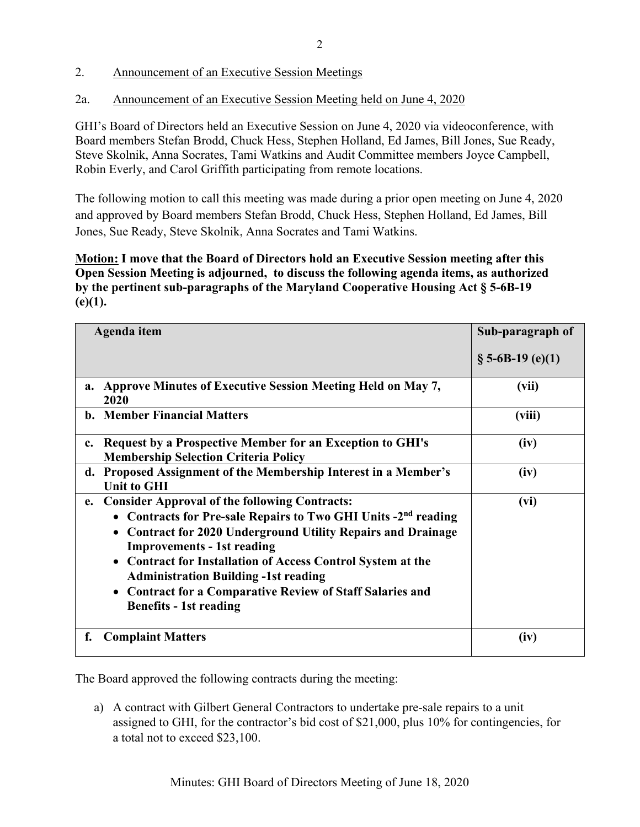2. Announcement of an Executive Session Meetings

2a. Announcement of an Executive Session Meeting held on June 4, 2020

GHI's Board of Directors held an Executive Session on June 4, 2020 via videoconference, with Board members Stefan Brodd, Chuck Hess, Stephen Holland, Ed James, Bill Jones, Sue Ready, Steve Skolnik, Anna Socrates, Tami Watkins and Audit Committee members Joyce Campbell, Robin Everly, and Carol Griffith participating from remote locations.

The following motion to call this meeting was made during a prior open meeting on June 4, 2020 and approved by Board members Stefan Brodd, Chuck Hess, Stephen Holland, Ed James, Bill Jones, Sue Ready, Steve Skolnik, Anna Socrates and Tami Watkins.

**Motion: I move that the Board of Directors hold an Executive Session meeting after this Open Session Meeting is adjourned, to discuss the following agenda items, as authorized by the pertinent sub-paragraphs of the Maryland Cooperative Housing Act § 5-6B-19 (e)(1).** 

| Agenda item                                                                                                                                                                                                                                                                                                                                                                                                                                                       | Sub-paragraph of    |
|-------------------------------------------------------------------------------------------------------------------------------------------------------------------------------------------------------------------------------------------------------------------------------------------------------------------------------------------------------------------------------------------------------------------------------------------------------------------|---------------------|
|                                                                                                                                                                                                                                                                                                                                                                                                                                                                   | $\S$ 5-6B-19 (e)(1) |
| Approve Minutes of Executive Session Meeting Held on May 7,<br>a.<br>2020                                                                                                                                                                                                                                                                                                                                                                                         | (vii)               |
| <b>b.</b> Member Financial Matters                                                                                                                                                                                                                                                                                                                                                                                                                                | (viii)              |
| Request by a Prospective Member for an Exception to GHI's<br>$c_{\cdot}$<br><b>Membership Selection Criteria Policy</b>                                                                                                                                                                                                                                                                                                                                           | (iv)                |
| d. Proposed Assignment of the Membership Interest in a Member's<br><b>Unit to GHI</b>                                                                                                                                                                                                                                                                                                                                                                             | (iv)                |
| <b>Consider Approval of the following Contracts:</b><br>e.<br>Contracts for Pre-sale Repairs to Two GHI Units -2 <sup>nd</sup> reading<br><b>Contract for 2020 Underground Utility Repairs and Drainage</b><br><b>Improvements - 1st reading</b><br>• Contract for Installation of Access Control System at the<br><b>Administration Building -1st reading</b><br><b>Contract for a Comparative Review of Staff Salaries and</b><br><b>Benefits - 1st reading</b> | (vi)                |
| f.<br><b>Complaint Matters</b>                                                                                                                                                                                                                                                                                                                                                                                                                                    | (iv)                |

The Board approved the following contracts during the meeting:

a) A contract with Gilbert General Contractors to undertake pre-sale repairs to a unit assigned to GHI, for the contractor's bid cost of \$21,000, plus 10% for contingencies, for a total not to exceed \$23,100.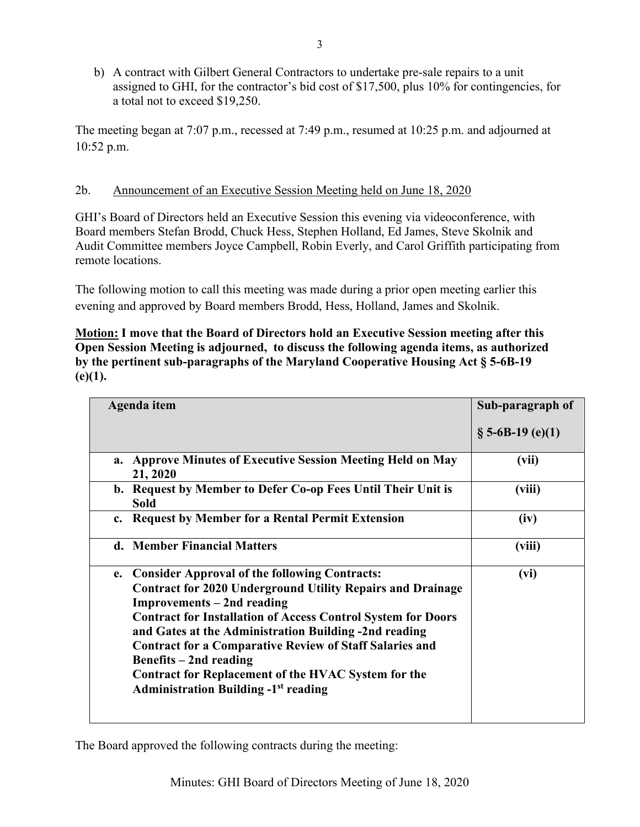b) A contract with Gilbert General Contractors to undertake pre-sale repairs to a unit assigned to GHI, for the contractor's bid cost of \$17,500, plus 10% for contingencies, for a total not to exceed \$19,250.

The meeting began at 7:07 p.m., recessed at 7:49 p.m., resumed at 10:25 p.m. and adjourned at 10:52 p.m.

### 2b. Announcement of an Executive Session Meeting held on June 18, 2020

GHI's Board of Directors held an Executive Session this evening via videoconference, with Board members Stefan Brodd, Chuck Hess, Stephen Holland, Ed James, Steve Skolnik and Audit Committee members Joyce Campbell, Robin Everly, and Carol Griffith participating from remote locations.

The following motion to call this meeting was made during a prior open meeting earlier this evening and approved by Board members Brodd, Hess, Holland, James and Skolnik.

**Motion: I move that the Board of Directors hold an Executive Session meeting after this Open Session Meeting is adjourned, to discuss the following agenda items, as authorized by the pertinent sub-paragraphs of the Maryland Cooperative Housing Act § 5-6B-19 (e)(1).** 

| Agenda item                                                                                                                                                                                                                                                                                                                                                                                                                                                                                      | Sub-paragraph of    |
|--------------------------------------------------------------------------------------------------------------------------------------------------------------------------------------------------------------------------------------------------------------------------------------------------------------------------------------------------------------------------------------------------------------------------------------------------------------------------------------------------|---------------------|
|                                                                                                                                                                                                                                                                                                                                                                                                                                                                                                  | $\S$ 5-6B-19 (e)(1) |
| a. Approve Minutes of Executive Session Meeting Held on May<br>21, 2020                                                                                                                                                                                                                                                                                                                                                                                                                          | (vii)               |
| b. Request by Member to Defer Co-op Fees Until Their Unit is<br><b>Sold</b>                                                                                                                                                                                                                                                                                                                                                                                                                      | (viii)              |
| <b>Request by Member for a Rental Permit Extension</b><br>$c_{\cdot}$                                                                                                                                                                                                                                                                                                                                                                                                                            | (iv)                |
| d. Member Financial Matters                                                                                                                                                                                                                                                                                                                                                                                                                                                                      | (viii)              |
| <b>Consider Approval of the following Contracts:</b><br>e.<br><b>Contract for 2020 Underground Utility Repairs and Drainage</b><br>Improvements – 2nd reading<br><b>Contract for Installation of Access Control System for Doors</b><br>and Gates at the Administration Building -2nd reading<br><b>Contract for a Comparative Review of Staff Salaries and</b><br>Benefits $-2nd$ reading<br>Contract for Replacement of the HVAC System for the<br><b>Administration Building -1st reading</b> | (vi)                |

The Board approved the following contracts during the meeting: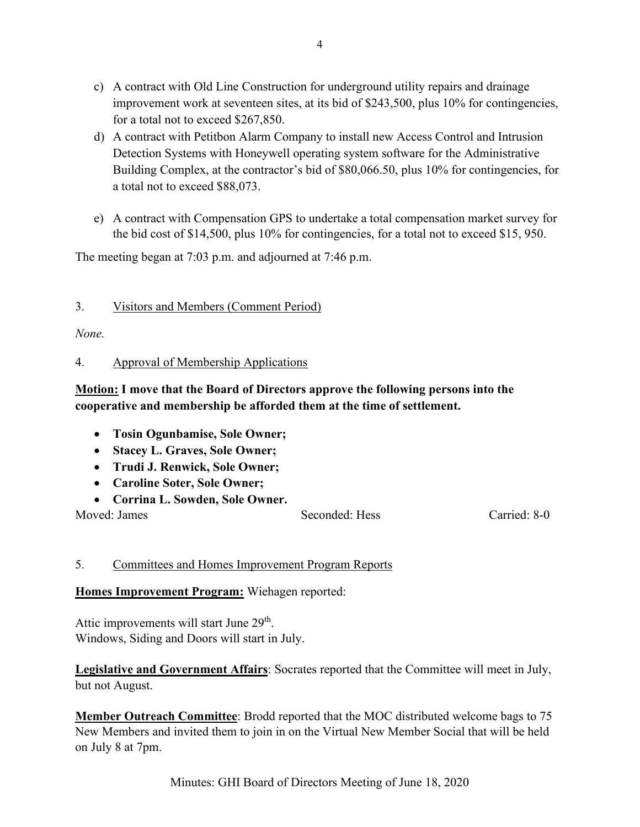- c) A contract with Old Line Construction for underground utility repairs and drainage improvement work at seventeen sites, at its bid of \$243,500, plus 10% for contingencies, for a total not to exceed \$267,850.
- d) A contract with Petitbon Alarm Company to install new Access Control and Intrusion Detection Systems with Honeywell operating system software for the Administrative Building Complex, at the contractor's bid of \$80,066.50, plus 10% for contingencies, for a total not to exceed \$88,073.
- e) A contract with Compensation GPS to undertake a total compensation market survey for the bid cost of \$14,500, plus 10% for contingencies, for a total not to exceed \$15, 950.

The meeting began at 7:03 p.m. and adjourned at 7:46 p.m.

#### 3. Visitors and Members (Comment Period)

*None.*

#### 4. Approval of Membership Applications

# **Motion: I move that the Board of Directors approve the following persons into the cooperative and membership be afforded them at the time of settlement.**

- **Tosin Ogunbamise, Sole Owner;**
- **Stacey L. Graves, Sole Owner;**
- **Trudi J. Renwick, Sole Owner;**
- **Caroline Soter, Sole Owner;**
- **Corrina L. Sowden, Sole Owner.**

Moved: James Seconded: Hess Carried: 8-0

### 5. Committees and Homes Improvement Program Reports

### **Homes Improvement Program:** Wiehagen reported:

Attic improvements will start June 29<sup>th</sup>. Windows, Siding and Doors will start in July.

**Legislative and Government Affairs**: Socrates reported that the Committee will meet in July, but not August.

**Member Outreach Committee**: Brodd reported that the MOC distributed welcome bags to 75 New Members and invited them to join in on the Virtual New Member Social that will be held on July 8 at 7pm.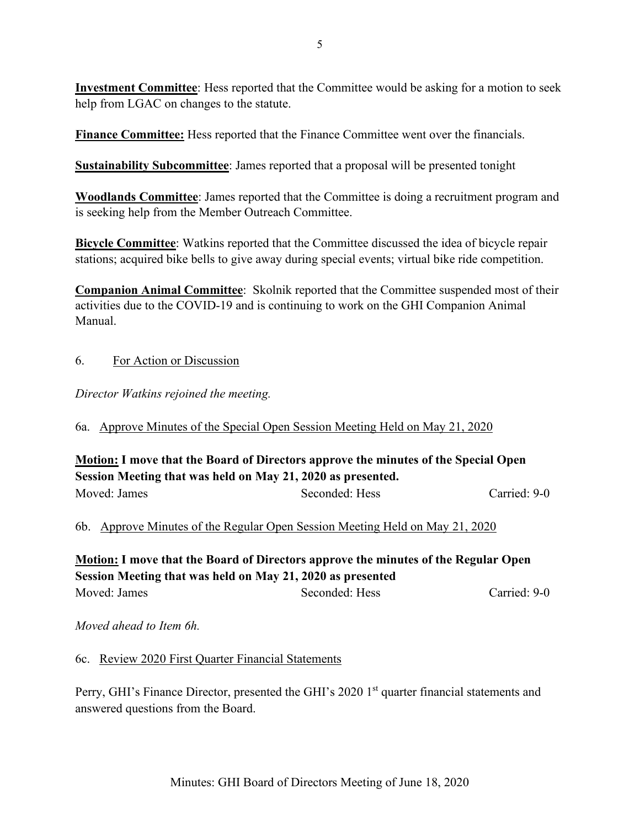**Investment Committee**: Hess reported that the Committee would be asking for a motion to seek help from LGAC on changes to the statute.

**Finance Committee:** Hess reported that the Finance Committee went over the financials.

**Sustainability Subcommittee**: James reported that a proposal will be presented tonight

**Woodlands Committee**: James reported that the Committee is doing a recruitment program and is seeking help from the Member Outreach Committee.

**Bicycle Committee**: Watkins reported that the Committee discussed the idea of bicycle repair stations; acquired bike bells to give away during special events; virtual bike ride competition.

**Companion Animal Committee**: Skolnik reported that the Committee suspended most of their activities due to the COVID-19 and is continuing to work on the GHI Companion Animal Manual.

## 6. For Action or Discussion

*Director Watkins rejoined the meeting.*

6a. Approve Minutes of the Special Open Session Meeting Held on May 21, 2020

## **Motion: I move that the Board of Directors approve the minutes of the Special Open Session Meeting that was held on May 21, 2020 as presented.** Moved: James Seconded: Hess Carried: 9-0

6b. Approve Minutes of the Regular Open Session Meeting Held on May 21, 2020

**Motion: I move that the Board of Directors approve the minutes of the Regular Open Session Meeting that was held on May 21, 2020 as presented** Moved: James Seconded: Hess Carried: 9-0

*Moved ahead to Item 6h.*

6c. Review 2020 First Quarter Financial Statements

Perry, GHI's Finance Director, presented the GHI's 2020 1<sup>st</sup> quarter financial statements and answered questions from the Board.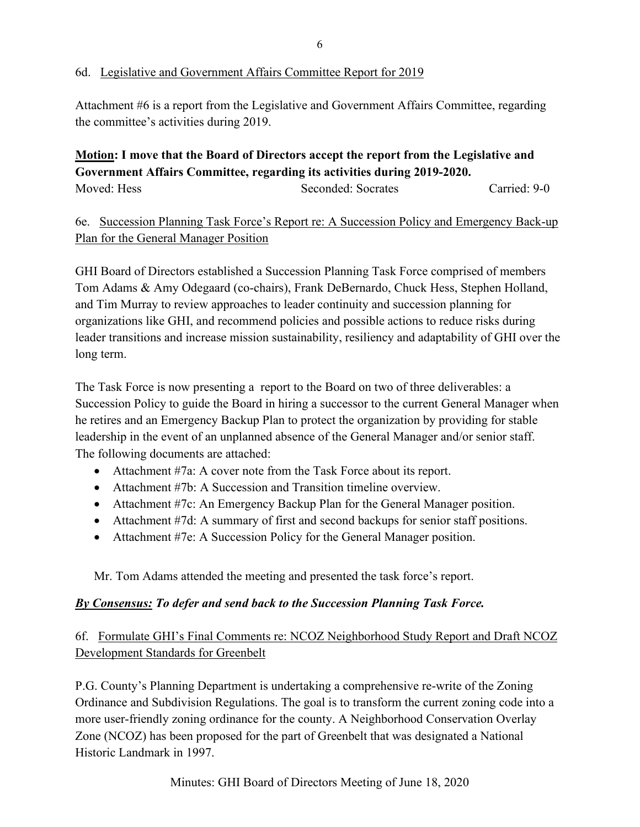#### 6d. Legislative and Government Affairs Committee Report for 2019

Attachment #6 is a report from the Legislative and Government Affairs Committee, regarding the committee's activities during 2019.

# **Motion: I move that the Board of Directors accept the report from the Legislative and Government Affairs Committee, regarding its activities during 2019-2020.**

Moved: Hess Seconded: Socrates Carried: 9-0

# 6e. Succession Planning Task Force's Report re: A Succession Policy and Emergency Back-up Plan for the General Manager Position

GHI Board of Directors established a Succession Planning Task Force comprised of members Tom Adams & Amy Odegaard (co-chairs), Frank DeBernardo, Chuck Hess, Stephen Holland, and Tim Murray to review approaches to leader continuity and succession planning for organizations like GHI, and recommend policies and possible actions to reduce risks during leader transitions and increase mission sustainability, resiliency and adaptability of GHI over the long term.

The Task Force is now presenting a report to the Board on two of three deliverables: a Succession Policy to guide the Board in hiring a successor to the current General Manager when he retires and an Emergency Backup Plan to protect the organization by providing for stable leadership in the event of an unplanned absence of the General Manager and/or senior staff. The following documents are attached:

- Attachment #7a: A cover note from the Task Force about its report.
- Attachment #7b: A Succession and Transition timeline overview.
- Attachment #7c: An Emergency Backup Plan for the General Manager position.
- Attachment #7d: A summary of first and second backups for senior staff positions.
- Attachment #7e: A Succession Policy for the General Manager position.

Mr. Tom Adams attended the meeting and presented the task force's report.

### *By Consensus: To defer and send back to the Succession Planning Task Force.*

## 6f. Formulate GHI's Final Comments re: NCOZ Neighborhood Study Report and Draft NCOZ Development Standards for Greenbelt

P.G. County's Planning Department is undertaking a comprehensive re-write of the Zoning Ordinance and Subdivision Regulations. The goal is to transform the current zoning code into a more user-friendly zoning ordinance for the county. A Neighborhood Conservation Overlay Zone (NCOZ) has been proposed for the part of Greenbelt that was designated a National Historic Landmark in 1997.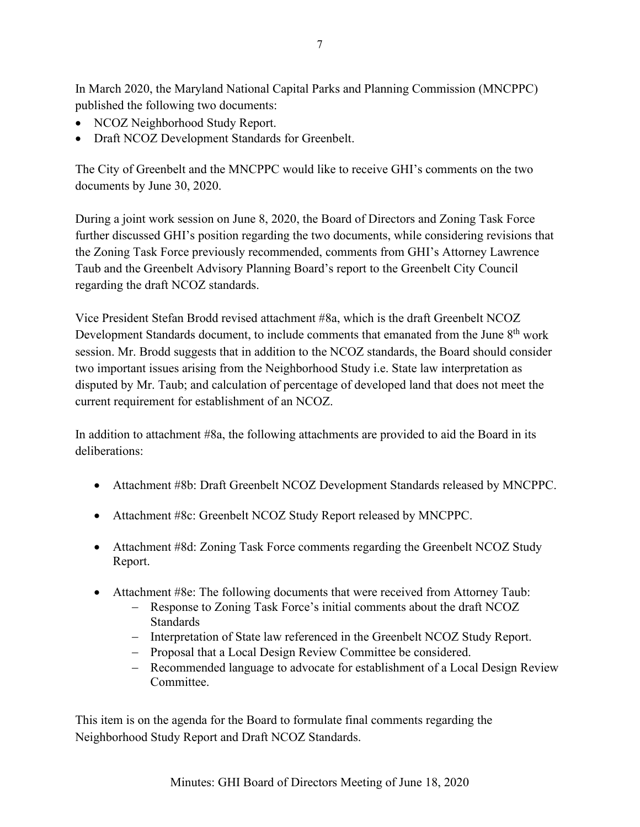In March 2020, the Maryland National Capital Parks and Planning Commission (MNCPPC) published the following two documents:

- NCOZ Neighborhood Study Report.
- Draft NCOZ Development Standards for Greenbelt.

The City of Greenbelt and the MNCPPC would like to receive GHI's comments on the two documents by June 30, 2020.

During a joint work session on June 8, 2020, the Board of Directors and Zoning Task Force further discussed GHI's position regarding the two documents, while considering revisions that the Zoning Task Force previously recommended, comments from GHI's Attorney Lawrence Taub and the Greenbelt Advisory Planning Board's report to the Greenbelt City Council regarding the draft NCOZ standards.

Vice President Stefan Brodd revised attachment #8a, which is the draft Greenbelt NCOZ Development Standards document, to include comments that emanated from the June 8<sup>th</sup> work session. Mr. Brodd suggests that in addition to the NCOZ standards, the Board should consider two important issues arising from the Neighborhood Study i.e. State law interpretation as disputed by Mr. Taub; and calculation of percentage of developed land that does not meet the current requirement for establishment of an NCOZ.

In addition to attachment #8a, the following attachments are provided to aid the Board in its deliberations:

- Attachment #8b: Draft Greenbelt NCOZ Development Standards released by MNCPPC.
- Attachment #8c: Greenbelt NCOZ Study Report released by MNCPPC.
- Attachment #8d: Zoning Task Force comments regarding the Greenbelt NCOZ Study Report.
- Attachment #8e: The following documents that were received from Attorney Taub:
	- − Response to Zoning Task Force's initial comments about the draft NCOZ Standards
	- − Interpretation of State law referenced in the Greenbelt NCOZ Study Report.
	- − Proposal that a Local Design Review Committee be considered.
	- − Recommended language to advocate for establishment of a Local Design Review Committee.

This item is on the agenda for the Board to formulate final comments regarding the Neighborhood Study Report and Draft NCOZ Standards.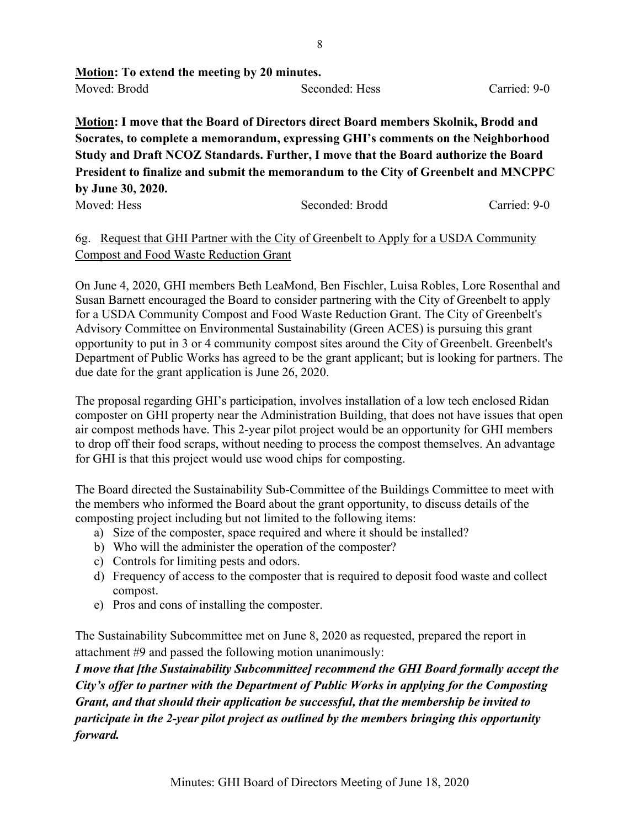| <b>Motion:</b> To extend the meeting by 20 minutes. |                |              |  |  |
|-----------------------------------------------------|----------------|--------------|--|--|
| Moved: Brodd                                        | Seconded: Hess | Carried: 9-0 |  |  |

**Motion: I move that the Board of Directors direct Board members Skolnik, Brodd and Socrates, to complete a memorandum, expressing GHI's comments on the Neighborhood Study and Draft NCOZ Standards. Further, I move that the Board authorize the Board President to finalize and submit the memorandum to the City of Greenbelt and MNCPPC by June 30, 2020.**

Moved: Hess Seconded: Brodd Carried: 9-0

## 6g. Request that GHI Partner with the City of Greenbelt to Apply for a USDA Community Compost and Food Waste Reduction Grant

On June 4, 2020, GHI members Beth LeaMond, Ben Fischler, Luisa Robles, Lore Rosenthal and Susan Barnett encouraged the Board to consider partnering with the City of Greenbelt to apply for a USDA Community Compost and Food Waste Reduction Grant. The City of Greenbelt's Advisory Committee on Environmental Sustainability (Green ACES) is pursuing this grant opportunity to put in 3 or 4 community compost sites around the City of Greenbelt. Greenbelt's Department of Public Works has agreed to be the grant applicant; but is looking for partners. The due date for the grant application is June 26, 2020.

The proposal regarding GHI's participation, involves installation of a low tech enclosed Ridan composter on GHI property near the Administration Building, that does not have issues that open air compost methods have. This 2-year pilot project would be an opportunity for GHI members to drop off their food scraps, without needing to process the compost themselves. An advantage for GHI is that this project would use wood chips for composting.

The Board directed the Sustainability Sub-Committee of the Buildings Committee to meet with the members who informed the Board about the grant opportunity, to discuss details of the composting project including but not limited to the following items:

- a) Size of the composter, space required and where it should be installed?
- b) Who will the administer the operation of the composter?
- c) Controls for limiting pests and odors.
- d) Frequency of access to the composter that is required to deposit food waste and collect compost.
- e) Pros and cons of installing the composter.

The Sustainability Subcommittee met on June 8, 2020 as requested, prepared the report in attachment #9 and passed the following motion unanimously:

*I move that [the Sustainability Subcommittee] recommend the GHI Board formally accept the City's offer to partner with the Department of Public Works in applying for the Composting Grant, and that should their application be successful, that the membership be invited to participate in the 2-year pilot project as outlined by the members bringing this opportunity forward.*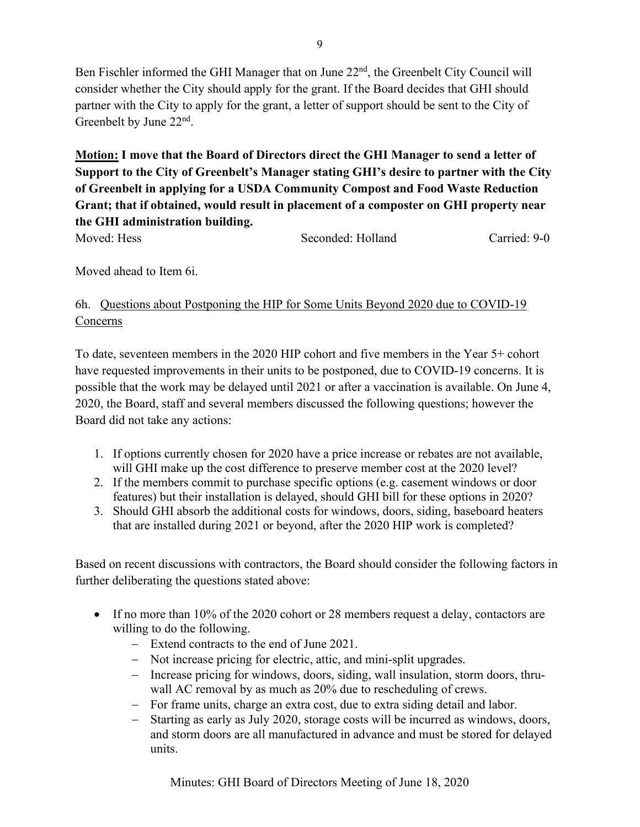Ben Fischler informed the GHI Manager that on June 22<sup>nd</sup>, the Greenbelt City Council will consider whether the City should apply for the grant. If the Board decides that GHI should partner with the City to apply for the grant, a letter of support should be sent to the City of Greenbelt by June 22<sup>nd</sup>.

**Motion: I move that the Board of Directors direct the GHI Manager to send a letter of Support to the City of Greenbelt's Manager stating GHI's desire to partner with the City of Greenbelt in applying for a USDA Community Compost and Food Waste Reduction Grant; that if obtained, would result in placement of a composter on GHI property near the GHI administration building.**

Moved: Hess Seconded: Holland Carried: 9-0

Moved ahead to Item 6i.

# 6h. Questions about Postponing the HIP for Some Units Beyond 2020 due to COVID-19 Concerns

To date, seventeen members in the 2020 HIP cohort and five members in the Year 5+ cohort have requested improvements in their units to be postponed, due to COVID-19 concerns. It is possible that the work may be delayed until 2021 or after a vaccination is available. On June 4, 2020, the Board, staff and several members discussed the following questions; however the Board did not take any actions:

- 1. If options currently chosen for 2020 have a price increase or rebates are not available, will GHI make up the cost difference to preserve member cost at the 2020 level?
- 2. If the members commit to purchase specific options (e.g. casement windows or door features) but their installation is delayed, should GHI bill for these options in 2020?
- 3. Should GHI absorb the additional costs for windows, doors, siding, baseboard heaters that are installed during 2021 or beyond, after the 2020 HIP work is completed?

Based on recent discussions with contractors, the Board should consider the following factors in further deliberating the questions stated above:

- If no more than 10% of the 2020 cohort or 28 members request a delay, contactors are willing to do the following.
	- − Extend contracts to the end of June 2021.
	- − Not increase pricing for electric, attic, and mini-split upgrades.
	- − Increase pricing for windows, doors, siding, wall insulation, storm doors, thruwall AC removal by as much as 20% due to rescheduling of crews.
	- − For frame units, charge an extra cost, due to extra siding detail and labor.
	- − Starting as early as July 2020, storage costs will be incurred as windows, doors, and storm doors are all manufactured in advance and must be stored for delayed units.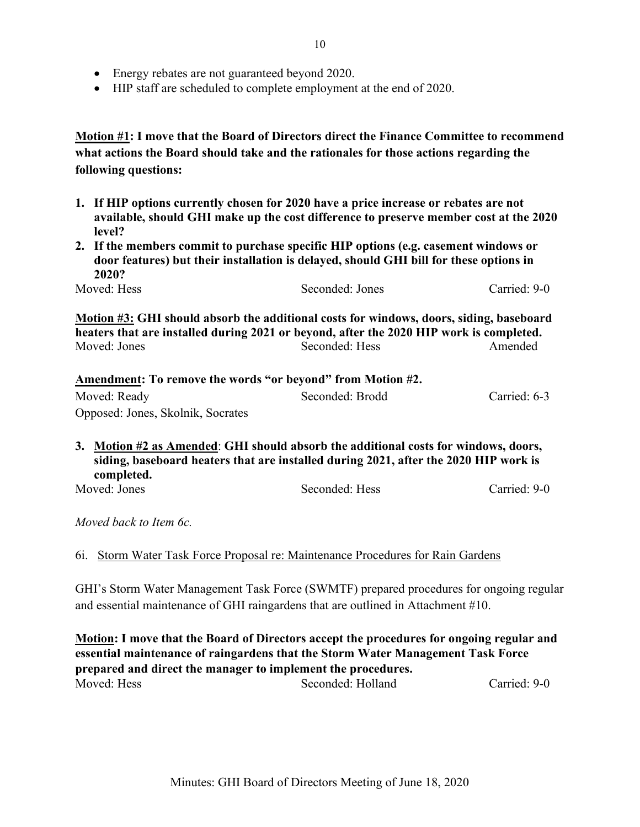- Energy rebates are not guaranteed beyond 2020.
- HIP staff are scheduled to complete employment at the end of 2020.

**Motion #1: I move that the Board of Directors direct the Finance Committee to recommend what actions the Board should take and the rationales for those actions regarding the following questions:**

- **1. If HIP options currently chosen for 2020 have a price increase or rebates are not available, should GHI make up the cost difference to preserve member cost at the 2020 level?**
- **2. If the members commit to purchase specific HIP options (e.g. casement windows or door features) but their installation is delayed, should GHI bill for these options in 2020?**

Moved: Hess Seconded: Jones Carried: 9-0

**Motion #3: GHI should absorb the additional costs for windows, doors, siding, baseboard heaters that are installed during 2021 or beyond, after the 2020 HIP work is completed.** Moved: Jones Seconded: Hess Amended

| Amendment: To remove the words "or beyond" from Motion #2. |                 |              |  |  |
|------------------------------------------------------------|-----------------|--------------|--|--|
| Moved: Ready                                               | Seconded: Brodd | Carried: 6-3 |  |  |
| Opposed: Jones, Skolnik, Socrates                          |                 |              |  |  |

- **3. Motion #2 as Amended**: **GHI should absorb the additional costs for windows, doors, siding, baseboard heaters that are installed during 2021, after the 2020 HIP work is completed.**
- 

Moved: Jones Seconded: Hess Carried: 9-0

*Moved back to Item 6c.*

6i. Storm Water Task Force Proposal re: Maintenance Procedures for Rain Gardens

GHI's Storm Water Management Task Force (SWMTF) prepared procedures for ongoing regular and essential maintenance of GHI raingardens that are outlined in Attachment #10.

**Motion: I move that the Board of Directors accept the procedures for ongoing regular and essential maintenance of raingardens that the Storm Water Management Task Force prepared and direct the manager to implement the procedures.** Moved: Hess Seconded: Holland Carried: 9-0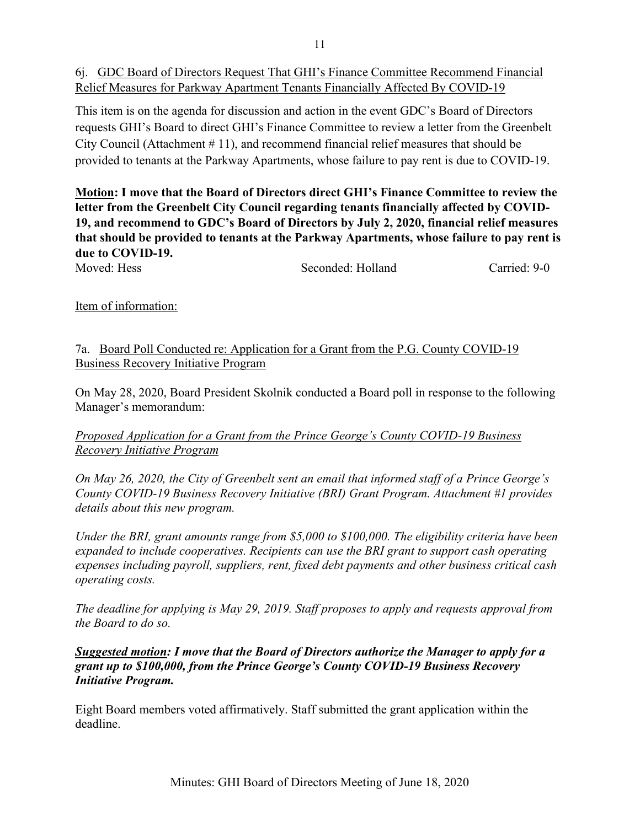6j. GDC Board of Directors Request That GHI's Finance Committee Recommend Financial Relief Measures for Parkway Apartment Tenants Financially Affected By COVID-19

This item is on the agenda for discussion and action in the event GDC's Board of Directors requests GHI's Board to direct GHI's Finance Committee to review a letter from the Greenbelt City Council (Attachment # 11), and recommend financial relief measures that should be provided to tenants at the Parkway Apartments, whose failure to pay rent is due to COVID-19.

**Motion: I move that the Board of Directors direct GHI's Finance Committee to review the letter from the Greenbelt City Council regarding tenants financially affected by COVID-19, and recommend to GDC's Board of Directors by July 2, 2020, financial relief measures that should be provided to tenants at the Parkway Apartments, whose failure to pay rent is due to COVID-19.**

| Moved: Hess | Seconded: Holland | Carried: 9-0 |
|-------------|-------------------|--------------|
|-------------|-------------------|--------------|

Item of information:

7a. Board Poll Conducted re: Application for a Grant from the P.G. County COVID-19 Business Recovery Initiative Program

On May 28, 2020, Board President Skolnik conducted a Board poll in response to the following Manager's memorandum:

### *Proposed Application for a Grant from the Prince George's County COVID-19 Business Recovery Initiative Program*

*On May 26, 2020, the City of Greenbelt sent an email that informed staff of a Prince George's County COVID-19 Business Recovery Initiative (BRI) Grant Program. Attachment #1 provides details about this new program.* 

*Under the BRI, grant amounts range from \$5,000 to \$100,000. The eligibility criteria have been expanded to include cooperatives. Recipients can use the BRI grant to support cash operating expenses including payroll, suppliers, rent, fixed debt payments and other business critical cash operating costs.*

*The deadline for applying is May 29, 2019. Staff proposes to apply and requests approval from the Board to do so.* 

*Suggested motion: I move that the Board of Directors authorize the Manager to apply for a grant up to \$100,000, from the Prince George's County COVID-19 Business Recovery Initiative Program.*

Eight Board members voted affirmatively. Staff submitted the grant application within the deadline.